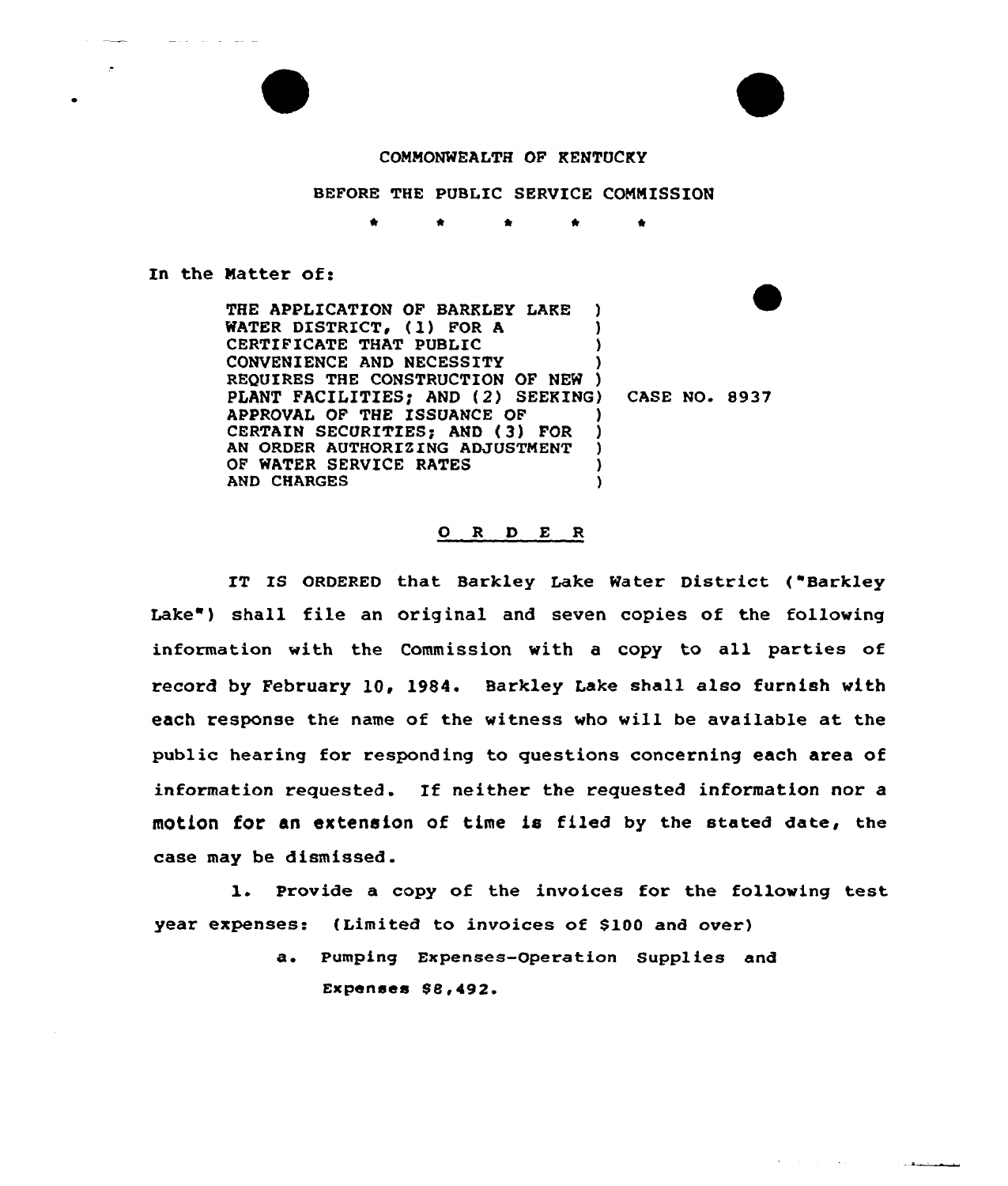## CONNONWEALTH OF KENTUCKY

## BEFORE THE PUBLIC SERVICE COMMISSION

\* \*

In the Natter of:

THE APPLICATION OF BARKLEY LAKE WATER DISTRICT, (1) FOR A )<br>CERTIFICATE THAT PUBLIC CERTIFICATE THAT PUBLIC CONVENIENCE AND NECESSITY ) REQUIRES THE CONSTRUCTION OF NEW ) PLANT FACILITIES; AND (2) SEEKING) CASE NO. 8937 APPROVAL OF THE ISSUANCE OF ) CERTAIN SECURITIES; AND (3) FOR )<br>AN ORDER AUTHORIZING ADJUSTMENT ) AN ORDER AUTHORIZING ADJUSTMENT OF WATER SERVICE RATES (1998)<br>AND CHARGES **AND CHARGES** 

## ORDER

IT IS ORDERED that Barkley Lake Water District ("Barkley Lake") shall file an original and seven copies of the following information with the Commission with a copy to all parties of record by February 10, 1984. Barkley Lake shall also furnish with each response the name of the witness who will be available at the public hearing for responding to questions concerning each area of information requested. If neither the requested information nor a motion for an extension of time is filed by the stated date, the case may be dismissed.

l. Provide <sup>a</sup> copy of the invoices for the following test year expenses: (Limited to invoices of \$100 and over)

> a. Pumping Expenses-Operation Supplies and Expenses 88,492-

> > والمستحدث والمتعادية والرادا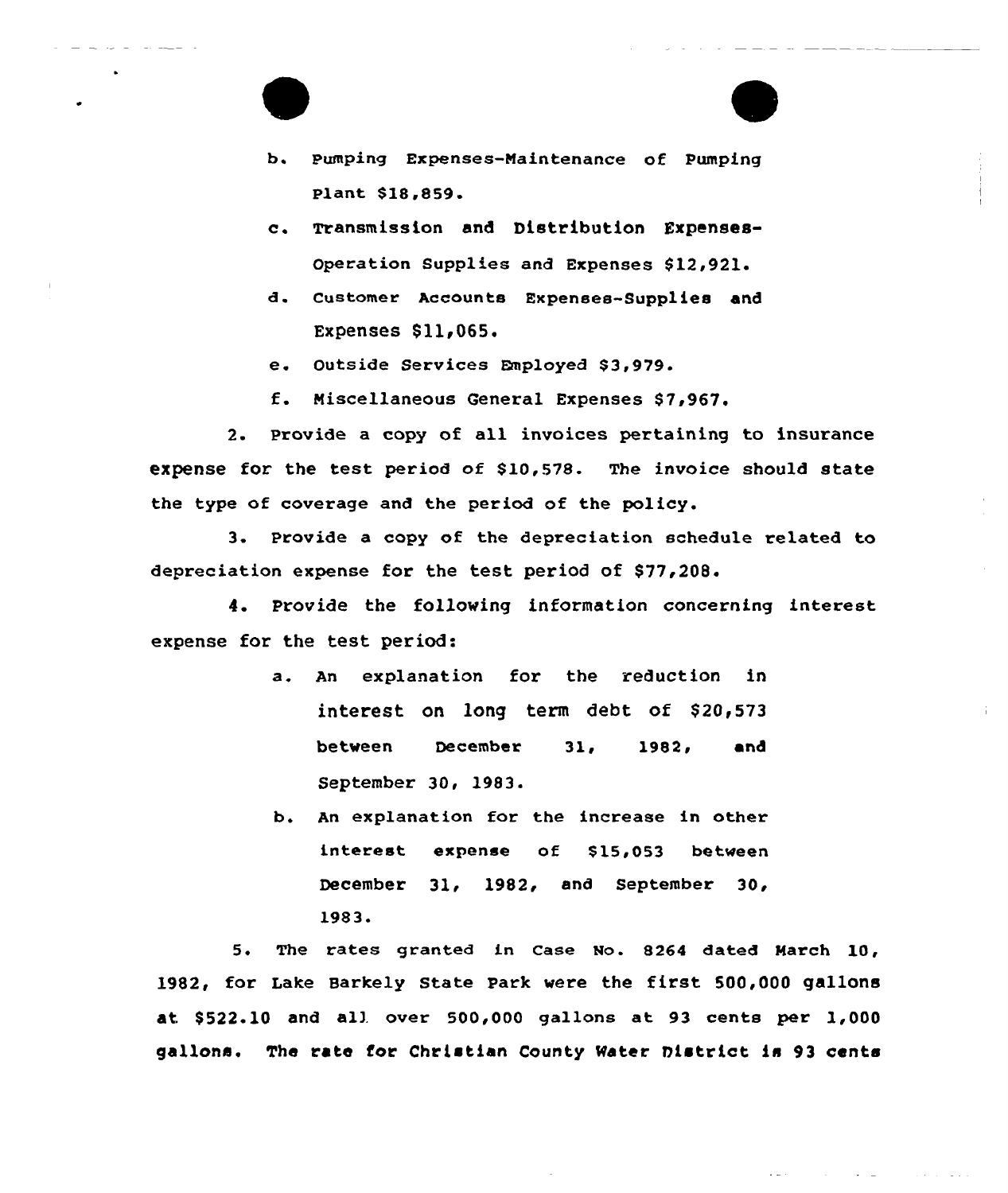- b. Pumping Expenses-Maintenance of Pumping Plant \$18,859.
- c. Transmission and Distribution Expenses-Operation Supplies and Expenses \$12,921.
- d. Customer Accounts Expenses-Supplies and Expenses \$11,065.
- e. Outside Services Employed \$3,979.
- f. Miscellaneous General Expenses \$7,967.

2. Provide a copy of all invoices pertaining to insurance expense for the test period of \$10,578. The invoice should state the type of coverage and the period of the policy.

3. Provide a copy of the depreciation schedule related to depreciation expense for the test period of \$77,208.

4. Provide the following information concerning interest expense for the test period:

- a. An explanation for the reduction in interest on long term debt of  $$20,573$ between December 31, 1982, and September 30, 1983.
- b. An explanation for the increase in other interest expense of \$15,053 between December 31, 1982, and September 30, 1983'

5. The rates granted in Case No. 8264 dated March 10, 1982, for Lake Barkely State Park were the first 500,000 gallons at. \$ 522.10 and all over 500,000 gallons at 93 cents per 1,000 gallons. The rate for Christian County Mater District is 93 cents